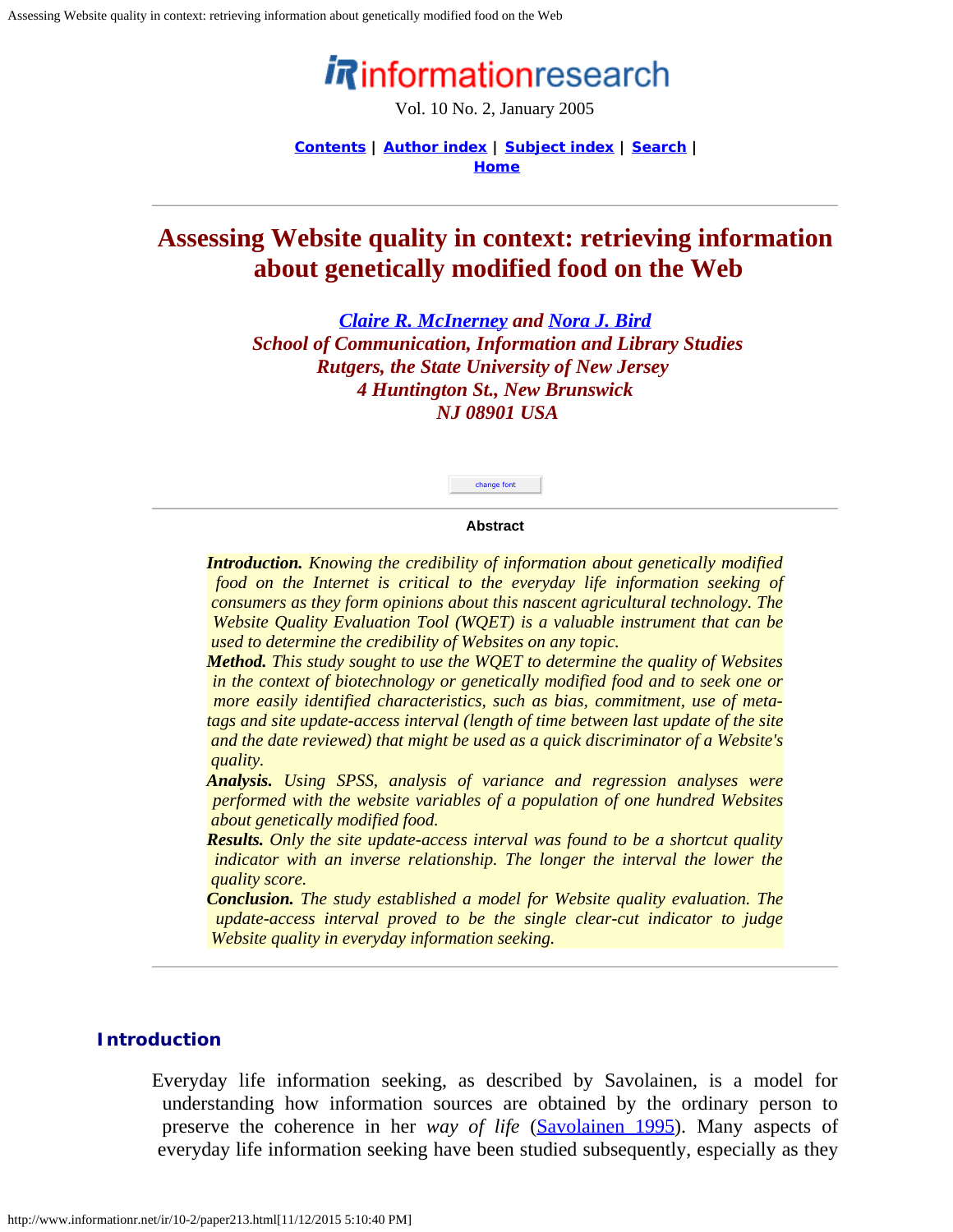# informationresearch

Vol. 10 No. 2, January 2005

**[Contents](http://www.informationr.net/ir/10-2/infres102.html) | [Author index](http://www.informationr.net/ir/iraindex.html) | [Subject index](http://www.informationr.net/ir/irsindex.html) | [Search](http://www.informationr.net/ir/search.html) | [Home](http://www.informationr.net/ir/index.html)**

# <span id="page-0-0"></span>**Assessing Website quality in context: retrieving information about genetically modified food on the Web**

*[Claire R. McInerney](mailto:clairemc@scils.rutgers.edu) and [Nora J. Bird](mailto:nbird@scils.rutgers.edu) School of Communication, Information and Library Studies Rutgers, the State University of New Jersey 4 Huntington St., New Brunswick NJ 08901 USA*



#### **Abstract**

*Introduction. Knowing the credibility of information about genetically modified food on the Internet is critical to the everyday life information seeking of consumers as they form opinions about this nascent agricultural technology. The Website Quality Evaluation Tool (WQET) is a valuable instrument that can be used to determine the credibility of Websites on any topic.*

*Method. This study sought to use the WQET to determine the quality of Websites in the context of biotechnology or genetically modified food and to seek one or more easily identified characteristics, such as bias, commitment, use of metatags and site update-access interval (length of time between last update of the site and the date reviewed) that might be used as a quick discriminator of a Website's quality.*

*Analysis. Using SPSS, analysis of variance and regression analyses were performed with the website variables of a population of one hundred Websites about genetically modified food.*

*Results. Only the site update-access interval was found to be a shortcut quality indicator with an inverse relationship. The longer the interval the lower the quality score.*

*Conclusion. The study established a model for Website quality evaluation. The update-access interval proved to be the single clear-cut indicator to judge Website quality in everyday information seeking.*

### **Introduction**

Everyday life information seeking, as described by Savolainen, is a model for understanding how information sources are obtained by the ordinary person to preserve the coherence in her *way of life* ([Savolainen 1995](#page-12-0)). Many aspects of everyday life information seeking have been studied subsequently, especially as they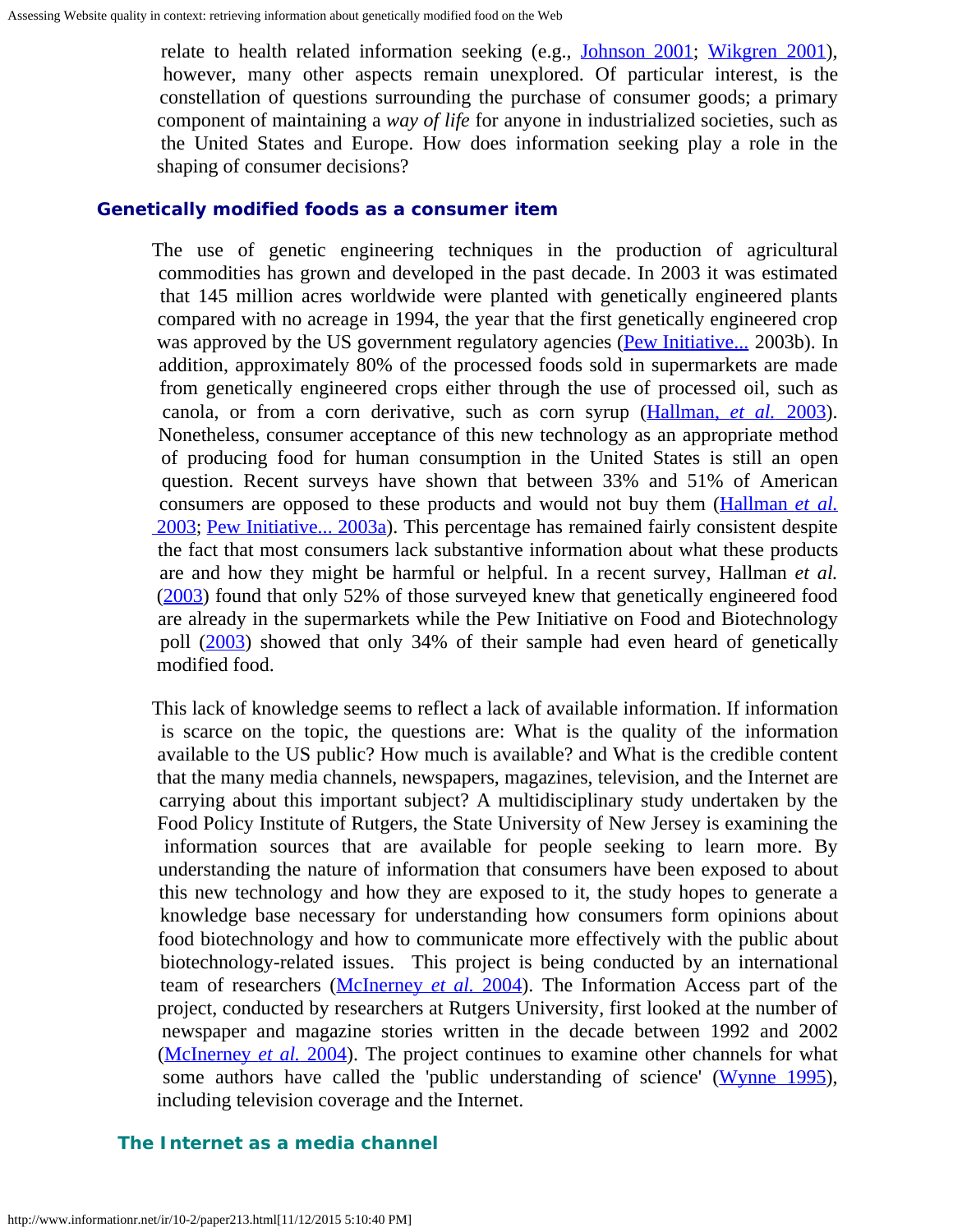relate to health related information seeking (e.g., [Johnson 2001](http://www.informationr.net/ir/10-2/joh01); [Wikgren 2001](#page-0-0)), however, many other aspects remain unexplored. Of particular interest, is the constellation of questions surrounding the purchase of consumer goods; a primary component of maintaining a *way of life* for anyone in industrialized societies, such as the United States and Europe. How does information seeking play a role in the shaping of consumer decisions?

#### **Genetically modified foods as a consumer item**

The use of genetic engineering techniques in the production of agricultural commodities has grown and developed in the past decade. In 2003 it was estimated that 145 million acres worldwide were planted with genetically engineered plants compared with no acreage in 1994, the year that the first genetically engineered crop was approved by the US government regulatory agencies [\(Pew Initiative...](#page-12-1) 2003b). In addition, approximately 80% of the processed foods sold in supermarkets are made from genetically engineered crops either through the use of processed oil, such as canola, or from a corn derivative, such as corn syrup [\(Hallman,](#page-11-0) *[et al.](#page-11-0)* [2003](#page-11-0)). Nonetheless, consumer acceptance of this new technology as an appropriate method of producing food for human consumption in the United States is still an open question. Recent surveys have shown that between 33% and 51% of American consumers are opposed to these products and would not buy them [\(Hallman](#page-0-0) *[et al.](#page-0-0)*  [2003](#page-0-0); [Pew Initiative... 2003a](#page-12-2)). This percentage has remained fairly consistent despite the fact that most consumers lack substantive information about what these products are and how they might be harmful or helpful. In a recent survey, Hallman *et al.* ([2003](#page-11-0)) found that only 52% of those surveyed knew that genetically engineered food are already in the supermarkets while the Pew Initiative on Food and Biotechnology poll [\(2003](#page-12-2)) showed that only 34% of their sample had even heard of genetically modified food.

This lack of knowledge seems to reflect a lack of available information. If information is scarce on the topic, the questions are: What is the quality of the information available to the US public? How much is available? and What is the credible content that the many media channels, newspapers, magazines, television, and the Internet are carrying about this important subject? A multidisciplinary study undertaken by the Food Policy Institute of Rutgers, the State University of New Jersey is examining the information sources that are available for people seeking to learn more. By understanding the nature of information that consumers have been exposed to about this new technology and how they are exposed to it, the study hopes to generate a knowledge base necessary for understanding how consumers form opinions about food biotechnology and how to communicate more effectively with the public about biotechnology-related issues. This project is being conducted by an international team of researchers [\(McInerney](#page-12-3) *[et al.](#page-12-3)* [2004](#page-12-3)). The Information Access part of the project, conducted by researchers at Rutgers University, first looked at the number of newspaper and magazine stories written in the decade between 1992 and 2002 [\(McInerney](#page-12-3) *[et al.](#page-12-3)* [2004](#page-12-3)). The project continues to examine other channels for what some authors have called the 'public understanding of science' [\(Wynne 1995](#page-12-4)), including television coverage and the Internet.

### **The Internet as a media channel**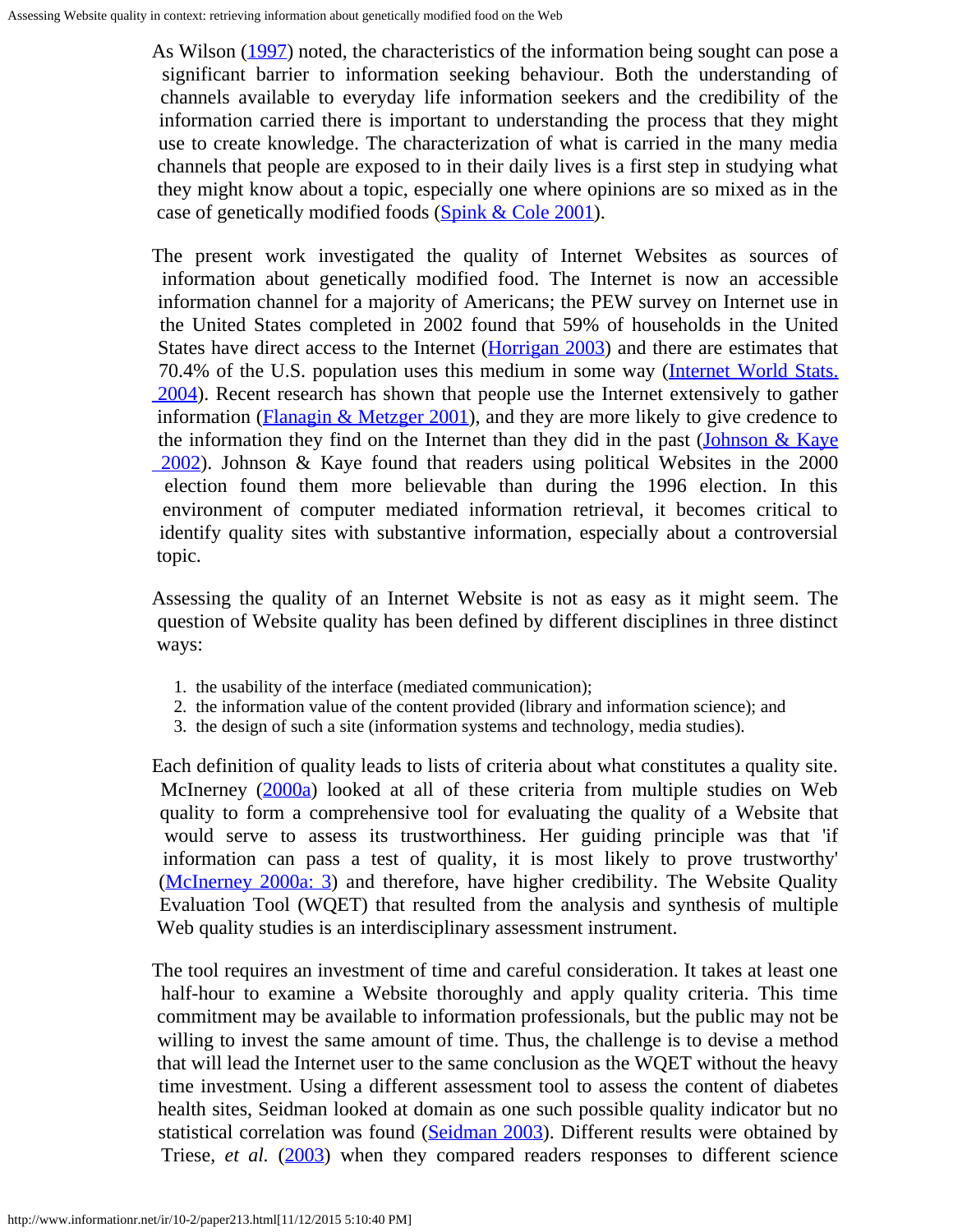As Wilson [\(1997](#page-12-5)) noted, the characteristics of the information being sought can pose a significant barrier to information seeking behaviour. Both the understanding of channels available to everyday life information seekers and the credibility of the information carried there is important to understanding the process that they might use to create knowledge. The characterization of what is carried in the many media channels that people are exposed to in their daily lives is a first step in studying what they might know about a topic, especially one where opinions are so mixed as in the case of genetically modified foods [\(Spink & Cole 2001](#page-12-6)).

The present work investigated the quality of Internet Websites as sources of information about genetically modified food. The Internet is now an accessible information channel for a majority of Americans; the PEW survey on Internet use in the United States completed in 2002 found that 59% of households in the United States have direct access to the Internet [\(Horrigan 2003](#page-12-7)) and there are estimates that 70.4% of the U.S. population uses this medium in some way [\(Internet World Stats.](#page-12-8)  [2004\)](#page-12-8). Recent research has shown that people use the Internet extensively to gather information ( $\frac{Flanagin \& \text{Metzger } 2001}{$ ), and they are more likely to give credence to the information they find on the Internet than they did in the past (*Johnson & Kaye*)  [2002\)](#page-12-9). Johnson & Kaye found that readers using political Websites in the 2000 election found them more believable than during the 1996 election. In this environment of computer mediated information retrieval, it becomes critical to identify quality sites with substantive information, especially about a controversial topic.

Assessing the quality of an Internet Website is not as easy as it might seem. The question of Website quality has been defined by different disciplines in three distinct ways:

- 1. the usability of the interface (mediated communication);
- 2. the information value of the content provided (library and information science); and
- 3. the design of such a site (information systems and technology, media studies).

Each definition of quality leads to lists of criteria about what constitutes a quality site. McInerney [\(2000a](#page-12-10)) looked at all of these criteria from multiple studies on Web quality to form a comprehensive tool for evaluating the quality of a Website that would serve to assess its trustworthiness. Her guiding principle was that 'if information can pass a test of quality, it is most likely to prove trustworthy' [\(McInerney 2000a: 3](#page-12-10)) and therefore, have higher credibility. The Website Quality Evaluation Tool (WQET) that resulted from the analysis and synthesis of multiple Web quality studies is an interdisciplinary assessment instrument.

The tool requires an investment of time and careful consideration. It takes at least one half-hour to examine a Website thoroughly and apply quality criteria. This time commitment may be available to information professionals, but the public may not be willing to invest the same amount of time. Thus, the challenge is to devise a method that will lead the Internet user to the same conclusion as the WQET without the heavy time investment. Using a different assessment tool to assess the content of diabetes health sites, Seidman looked at domain as one such possible quality indicator but no statistical correlation was found [\(Seidman 2003](#page-12-11)). Different results were obtained by Triese, *et al.* [\(2003](#page-12-12)) when they compared readers responses to different science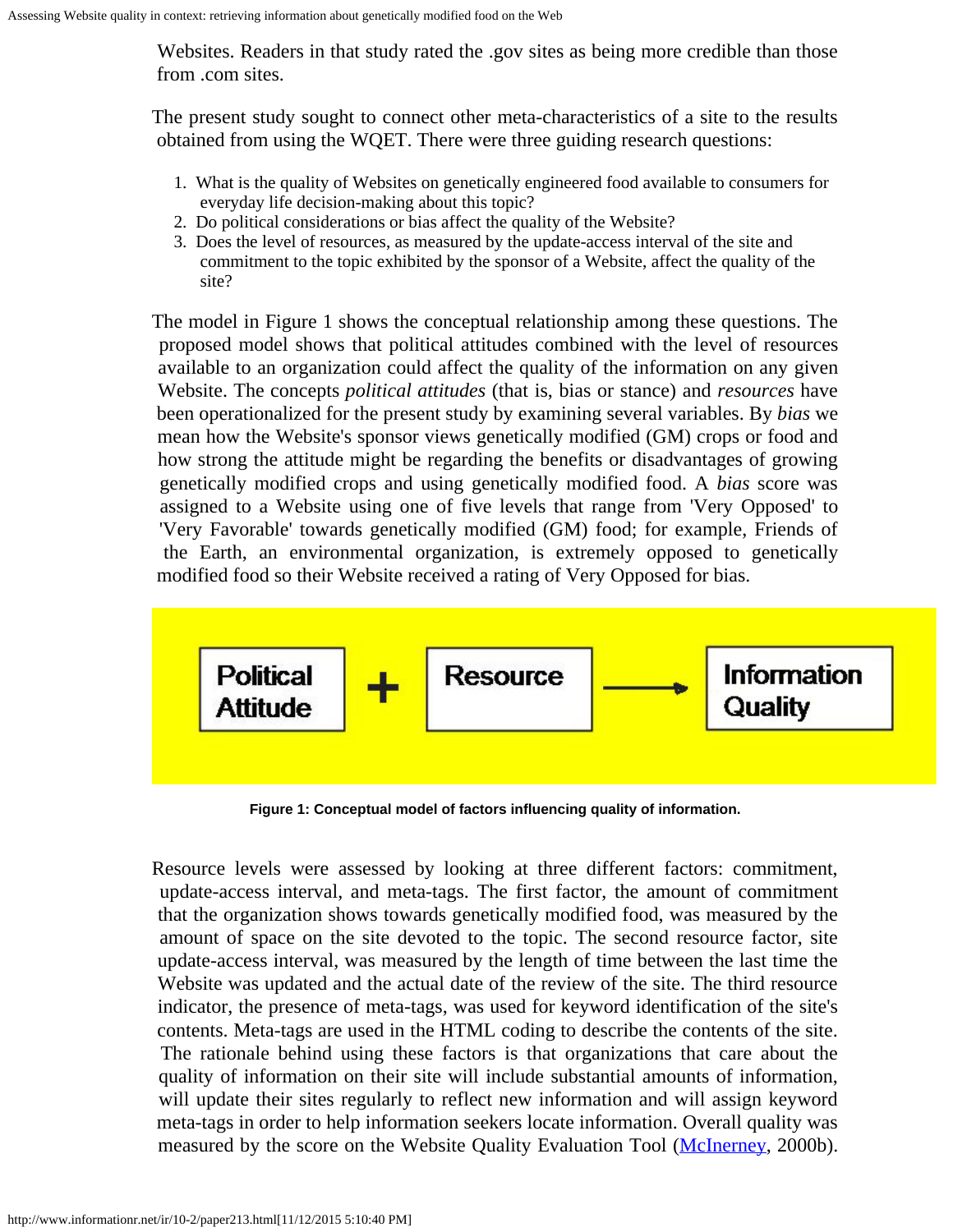Websites. Readers in that study rated the .gov sites as being more credible than those from .com sites.

The present study sought to connect other meta-characteristics of a site to the results obtained from using the WQET. There were three guiding research questions:

- 1. What is the quality of Websites on genetically engineered food available to consumers for everyday life decision-making about this topic?
- 2. Do political considerations or bias affect the quality of the Website?
- 3. Does the level of resources, as measured by the update-access interval of the site and commitment to the topic exhibited by the sponsor of a Website, affect the quality of the site?

The model in Figure 1 shows the conceptual relationship among these questions. The proposed model shows that political attitudes combined with the level of resources available to an organization could affect the quality of the information on any given Website. The concepts *political attitudes* (that is, bias or stance) and *resources* have been operationalized for the present study by examining several variables. By *bias* we mean how the Website's sponsor views genetically modified (GM) crops or food and how strong the attitude might be regarding the benefits or disadvantages of growing genetically modified crops and using genetically modified food. A *bias* score was assigned to a Website using one of five levels that range from 'Very Opposed' to 'Very Favorable' towards genetically modified (GM) food; for example, Friends of the Earth, an environmental organization, is extremely opposed to genetically modified food so their Website received a rating of Very Opposed for bias.



**Figure 1: Conceptual model of factors influencing quality of information.**

Resource levels were assessed by looking at three different factors: commitment, update-access interval, and meta-tags. The first factor, the amount of commitment that the organization shows towards genetically modified food, was measured by the amount of space on the site devoted to the topic. The second resource factor, site update-access interval, was measured by the length of time between the last time the Website was updated and the actual date of the review of the site. The third resource indicator, the presence of meta-tags, was used for keyword identification of the site's contents. Meta-tags are used in the HTML coding to describe the contents of the site. The rationale behind using these factors is that organizations that care about the quality of information on their site will include substantial amounts of information, will update their sites regularly to reflect new information and will assign keyword meta-tags in order to help information seekers locate information. Overall quality was measured by the score on the Website Quality Evaluation Tool ([McInerney](#page-12-13), 2000b).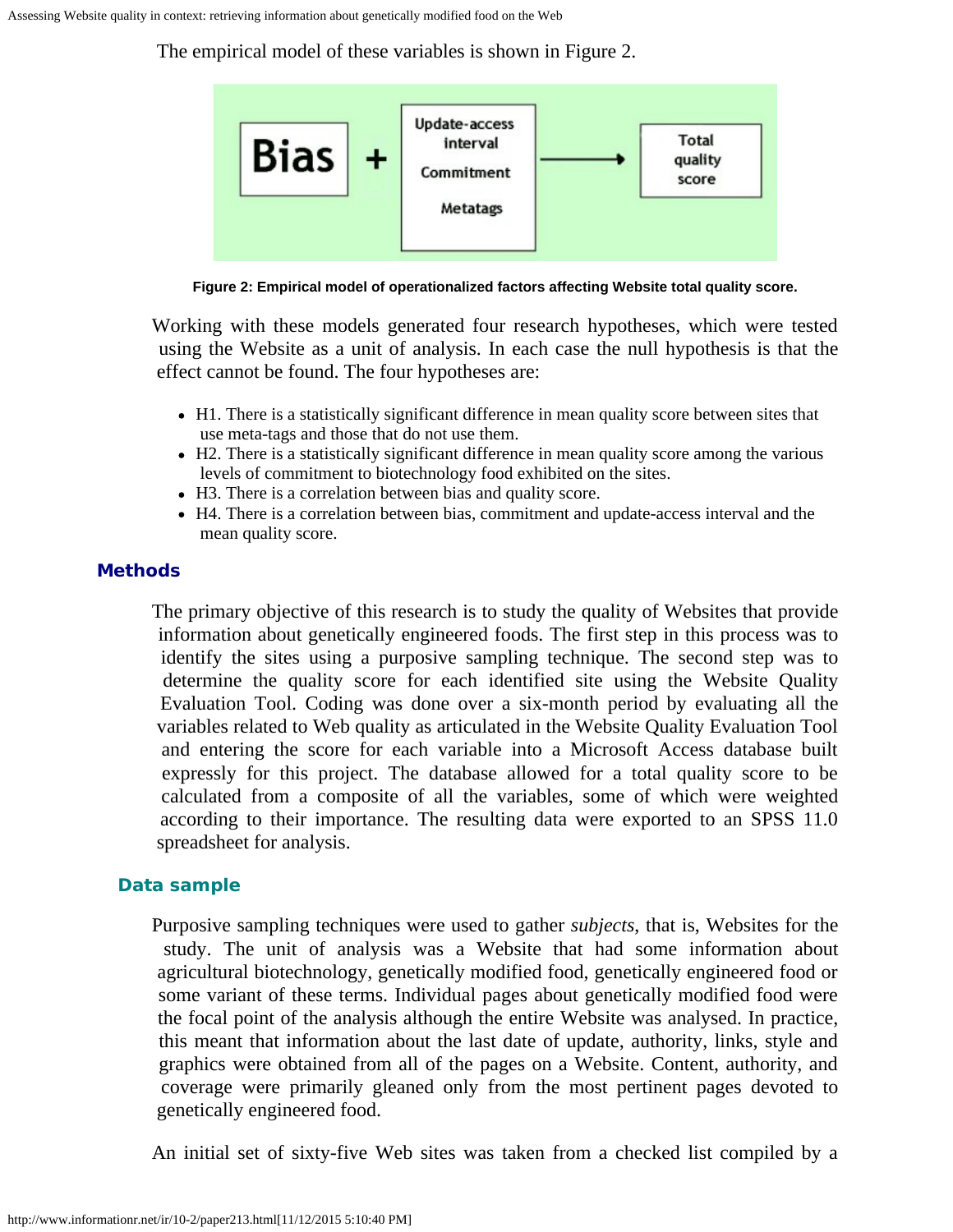The empirical model of these variables is shown in Figure 2.



**Figure 2: Empirical model of operationalized factors affecting Website total quality score.**

Working with these models generated four research hypotheses, which were tested using the Website as a unit of analysis. In each case the null hypothesis is that the effect cannot be found. The four hypotheses are:

- H1. There is a statistically significant difference in mean quality score between sites that use meta-tags and those that do not use them.
- H2. There is a statistically significant difference in mean quality score among the various levels of commitment to biotechnology food exhibited on the sites.
- H3. There is a correlation between bias and quality score.
- H4. There is a correlation between bias, commitment and update-access interval and the mean quality score.

### **Methods**

The primary objective of this research is to study the quality of Websites that provide information about genetically engineered foods. The first step in this process was to identify the sites using a purposive sampling technique. The second step was to determine the quality score for each identified site using the Website Quality Evaluation Tool. Coding was done over a six-month period by evaluating all the variables related to Web quality as articulated in the Website Quality Evaluation Tool and entering the score for each variable into a Microsoft Access database built expressly for this project. The database allowed for a total quality score to be calculated from a composite of all the variables, some of which were weighted according to their importance. The resulting data were exported to an SPSS 11.0 spreadsheet for analysis.

## **Data sample**

Purposive sampling techniques were used to gather *subjects*, that is, Websites for the study. The unit of analysis was a Website that had some information about agricultural biotechnology, genetically modified food, genetically engineered food or some variant of these terms. Individual pages about genetically modified food were the focal point of the analysis although the entire Website was analysed. In practice, this meant that information about the last date of update, authority, links, style and graphics were obtained from all of the pages on a Website. Content, authority, and coverage were primarily gleaned only from the most pertinent pages devoted to genetically engineered food.

An initial set of sixty-five Web sites was taken from a checked list compiled by a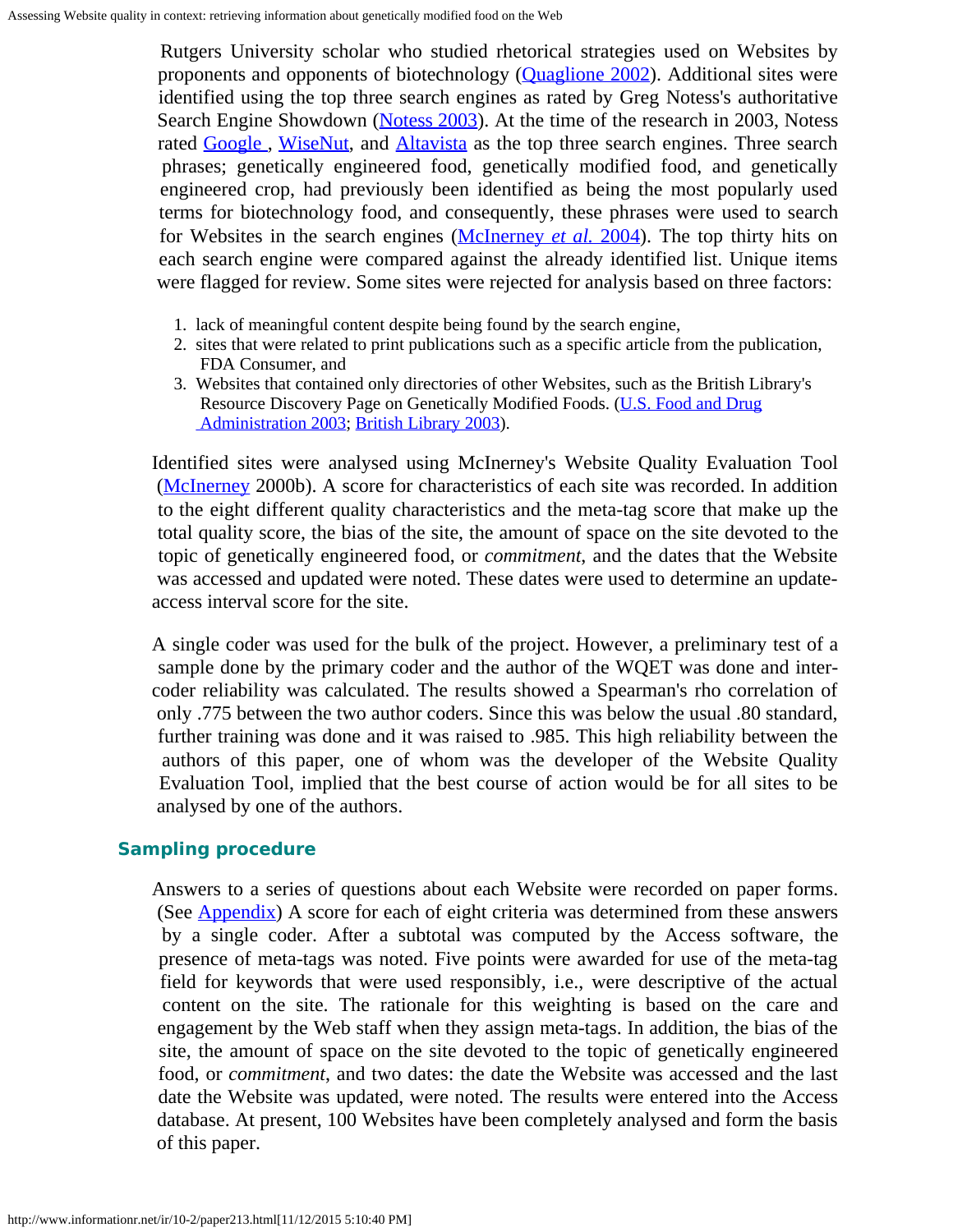Rutgers University scholar who studied rhetorical strategies used on Websites by proponents and opponents of biotechnology [\(Quaglione 2002](#page-12-14)). Additional sites were identified using the top three search engines as rated by Greg Notess's authoritative Search Engine Showdown [\(Notess 2003](#page-12-15)). At the time of the research in 2003, Notess rated Google, [WiseNut](http://www.wisenut.com/), and [Altavista](http://www.altavista.com/) as the top three search engines. Three search phrases; genetically engineered food, genetically modified food, and genetically engineered crop, had previously been identified as being the most popularly used terms for biotechnology food, and consequently, these phrases were used to search for Websites in the search engines [\(McInerney](#page-12-3) *[et al.](#page-12-3)* [2004](#page-12-3)). The top thirty hits on each search engine were compared against the already identified list. Unique items were flagged for review. Some sites were rejected for analysis based on three factors:

- 1. lack of meaningful content despite being found by the search engine,
- 2. sites that were related to print publications such as a specific article from the publication, FDA Consumer, and
- 3. Websites that contained only directories of other Websites, such as the British Library's Resource Discovery Page on Genetically Modified Foods. [\(U.S. Food and Drug](#page-0-0) Administration 2003; [British Library 2003](#page-11-2)).

Identified sites were analysed using McInerney's Website Quality Evaluation Tool ([McInerney](#page-12-13) 2000b). A score for characteristics of each site was recorded. In addition to the eight different quality characteristics and the meta-tag score that make up the total quality score, the bias of the site, the amount of space on the site devoted to the topic of genetically engineered food, or *commitment*, and the dates that the Website was accessed and updated were noted. These dates were used to determine an updateaccess interval score for the site.

A single coder was used for the bulk of the project. However, a preliminary test of a sample done by the primary coder and the author of the WQET was done and intercoder reliability was calculated. The results showed a Spearman's rho correlation of only .775 between the two author coders. Since this was below the usual .80 standard, further training was done and it was raised to .985. This high reliability between the authors of this paper, one of whom was the developer of the Website Quality Evaluation Tool, implied that the best course of action would be for all sites to be analysed by one of the authors.

### **Sampling procedure**

Answers to a series of questions about each Website were recorded on paper forms. (See [Appendix](#page-13-0)) A score for each of eight criteria was determined from these answers by a single coder. After a subtotal was computed by the Access software, the presence of meta-tags was noted. Five points were awarded for use of the meta-tag field for keywords that were used responsibly, i.e., were descriptive of the actual content on the site. The rationale for this weighting is based on the care and engagement by the Web staff when they assign meta-tags. In addition, the bias of the site, the amount of space on the site devoted to the topic of genetically engineered food, or *commitment*, and two dates: the date the Website was accessed and the last date the Website was updated, were noted. The results were entered into the Access database. At present, 100 Websites have been completely analysed and form the basis of this paper.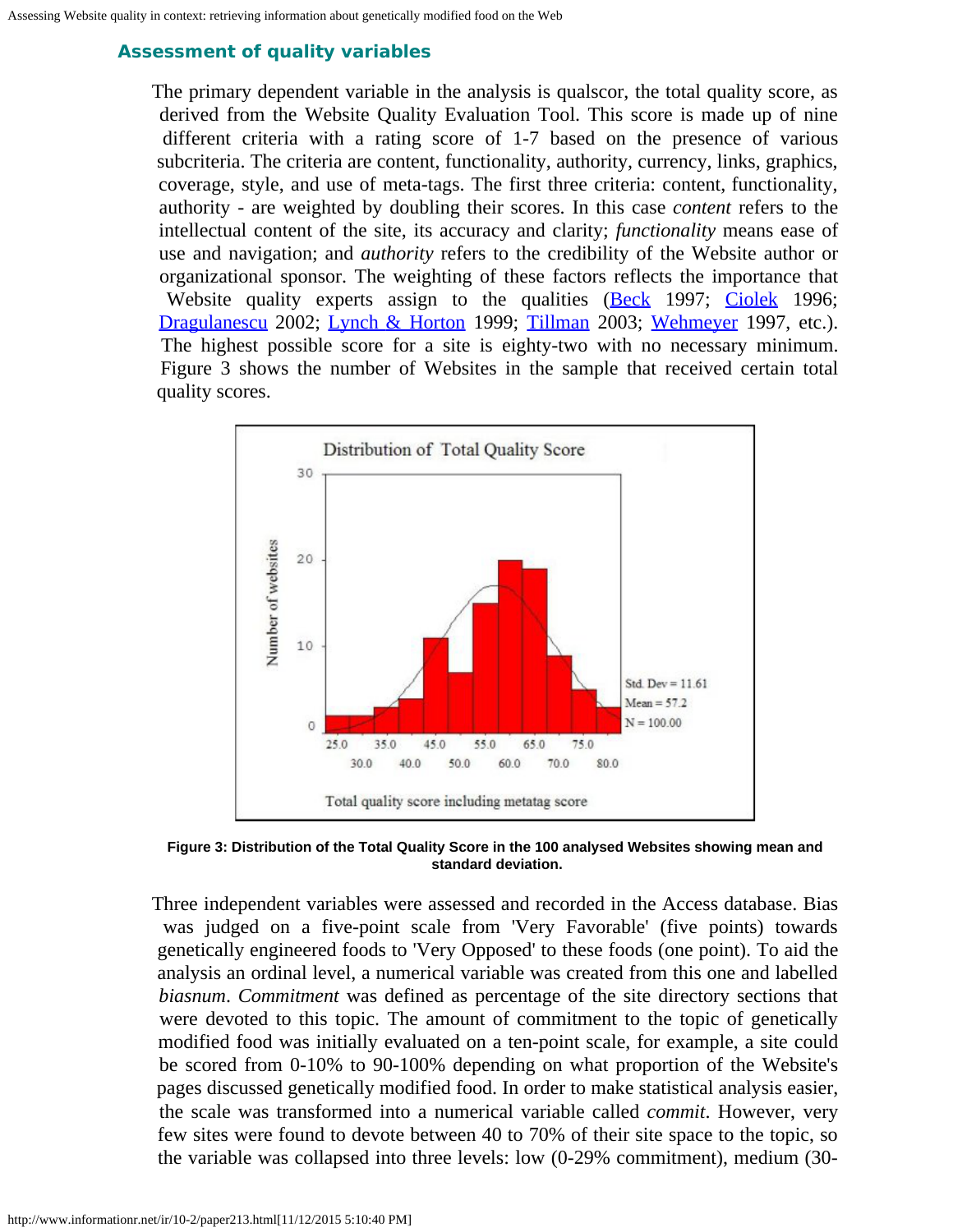# **Assessment of quality variables**

The primary dependent variable in the analysis is qualscor, the total quality score, as derived from the Website Quality Evaluation Tool. This score is made up of nine different criteria with a rating score of 1-7 based on the presence of various subcriteria. The criteria are content, functionality, authority, currency, links, graphics, coverage, style, and use of meta-tags. The first three criteria: content, functionality, authority - are weighted by doubling their scores. In this case *content* refers to the intellectual content of the site, its accuracy and clarity; *functionality* means ease of use and navigation; and *authority* refers to the credibility of the Website author or organizational sponsor. The weighting of these factors reflects the importance that Website quality experts assign to the qualities [\(Beck](#page-0-0) 1997; [Ciolek](#page-0-0) 1996; [Dragulanescu](#page-0-0) 2002; [Lynch & Horton](#page-0-0) 1999; [Tillman](#page-0-0) 2003; [Wehmeyer](#page-0-0) 1997, etc.). The highest possible score for a site is eighty-two with no necessary minimum. Figure 3 shows the number of Websites in the sample that received certain total quality scores.



**Figure 3: Distribution of the Total Quality Score in the 100 analysed Websites showing mean and standard deviation.**

Three independent variables were assessed and recorded in the Access database. Bias was judged on a five-point scale from 'Very Favorable' (five points) towards genetically engineered foods to 'Very Opposed' to these foods (one point). To aid the analysis an ordinal level, a numerical variable was created from this one and labelled *biasnum*. *Commitment* was defined as percentage of the site directory sections that were devoted to this topic. The amount of commitment to the topic of genetically modified food was initially evaluated on a ten-point scale, for example, a site could be scored from 0-10% to 90-100% depending on what proportion of the Website's pages discussed genetically modified food. In order to make statistical analysis easier, the scale was transformed into a numerical variable called *commit*. However, very few sites were found to devote between 40 to 70% of their site space to the topic, so the variable was collapsed into three levels: low (0-29% commitment), medium (30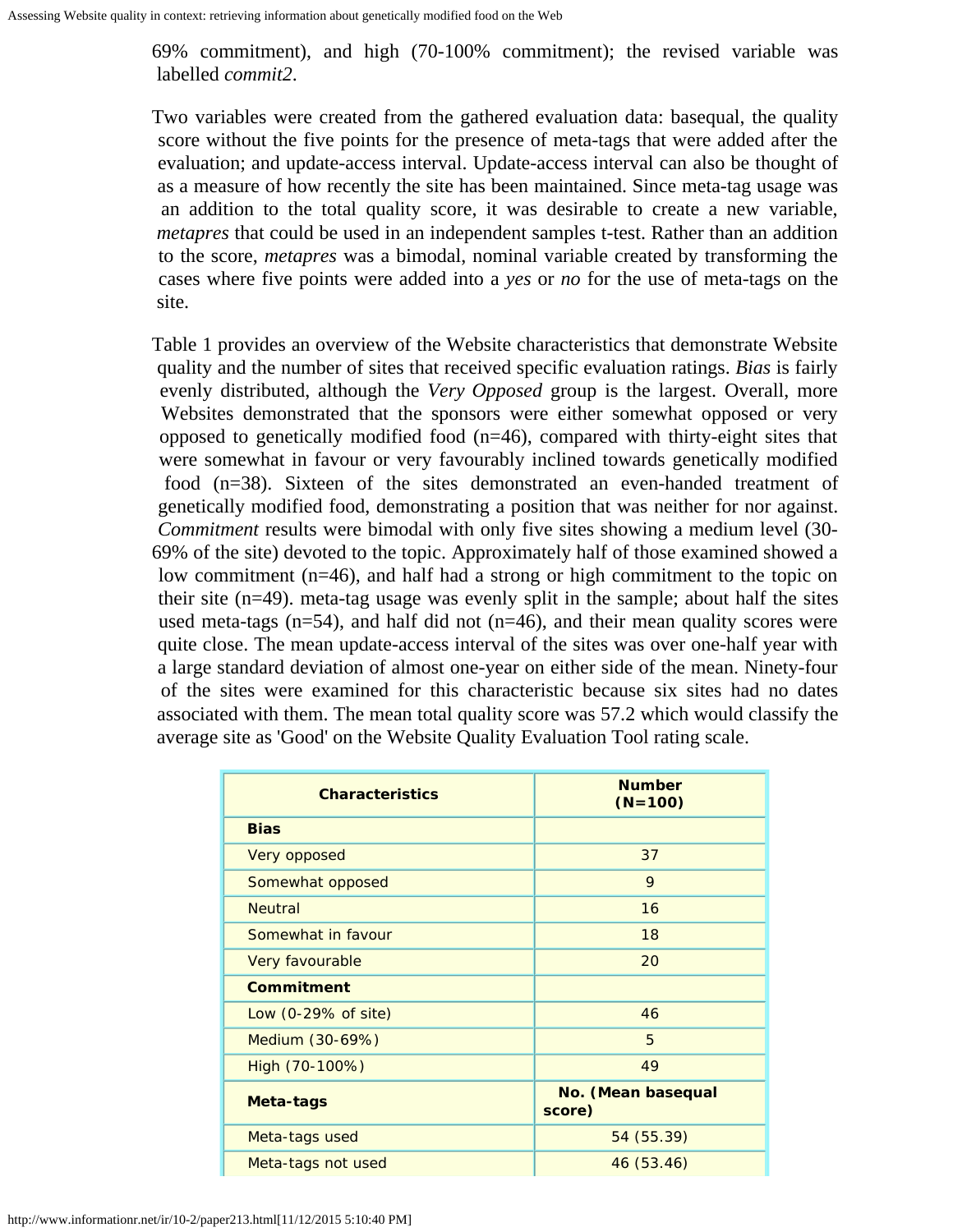69% commitment), and high (70-100% commitment); the revised variable was labelled *commit2*.

Two variables were created from the gathered evaluation data: basequal, the quality score without the five points for the presence of meta-tags that were added after the evaluation; and update-access interval. Update-access interval can also be thought of as a measure of how recently the site has been maintained. Since meta-tag usage was an addition to the total quality score, it was desirable to create a new variable, *metapres* that could be used in an independent samples t-test. Rather than an addition to the score, *metapres* was a bimodal, nominal variable created by transforming the cases where five points were added into a *yes* or *no* for the use of meta-tags on the site.

Table 1 provides an overview of the Website characteristics that demonstrate Website quality and the number of sites that received specific evaluation ratings. *Bias* is fairly evenly distributed, although the *Very Opposed* group is the largest. Overall, more Websites demonstrated that the sponsors were either somewhat opposed or very opposed to genetically modified food (n=46), compared with thirty-eight sites that were somewhat in favour or very favourably inclined towards genetically modified food (n=38). Sixteen of the sites demonstrated an even-handed treatment of genetically modified food, demonstrating a position that was neither for nor against. *Commitment* results were bimodal with only five sites showing a medium level (30- 69% of the site) devoted to the topic. Approximately half of those examined showed a low commitment (n=46), and half had a strong or high commitment to the topic on their site (n=49). meta-tag usage was evenly split in the sample; about half the sites used meta-tags ( $n=54$ ), and half did not ( $n=46$ ), and their mean quality scores were quite close. The mean update-access interval of the sites was over one-half year with a large standard deviation of almost one-year on either side of the mean. Ninety-four of the sites were examined for this characteristic because six sites had no dates associated with them. The mean total quality score was 57.2 which would classify the average site as 'Good' on the Website Quality Evaluation Tool rating scale.

| <b>Characteristics</b>         | <b>Number</b><br>$(N=100)$   |  |  |
|--------------------------------|------------------------------|--|--|
| <b>Bias</b>                    |                              |  |  |
| Very opposed                   | 37                           |  |  |
| Somewhat opposed               | 9                            |  |  |
| <b>Neutral</b>                 | 16                           |  |  |
| Somewhat in favour             | 18                           |  |  |
| Very favourable                | 20                           |  |  |
| Commitment                     |                              |  |  |
| Low $(0-29\% \text{ of site})$ | 46                           |  |  |
| Medium (30-69%)                | 5                            |  |  |
| High (70-100%)                 | 49                           |  |  |
| Meta-tags                      | No. (Mean basequal<br>score) |  |  |
| Meta-tags used                 | 54 (55.39)                   |  |  |
| Meta-tags not used             | 46 (53.46)                   |  |  |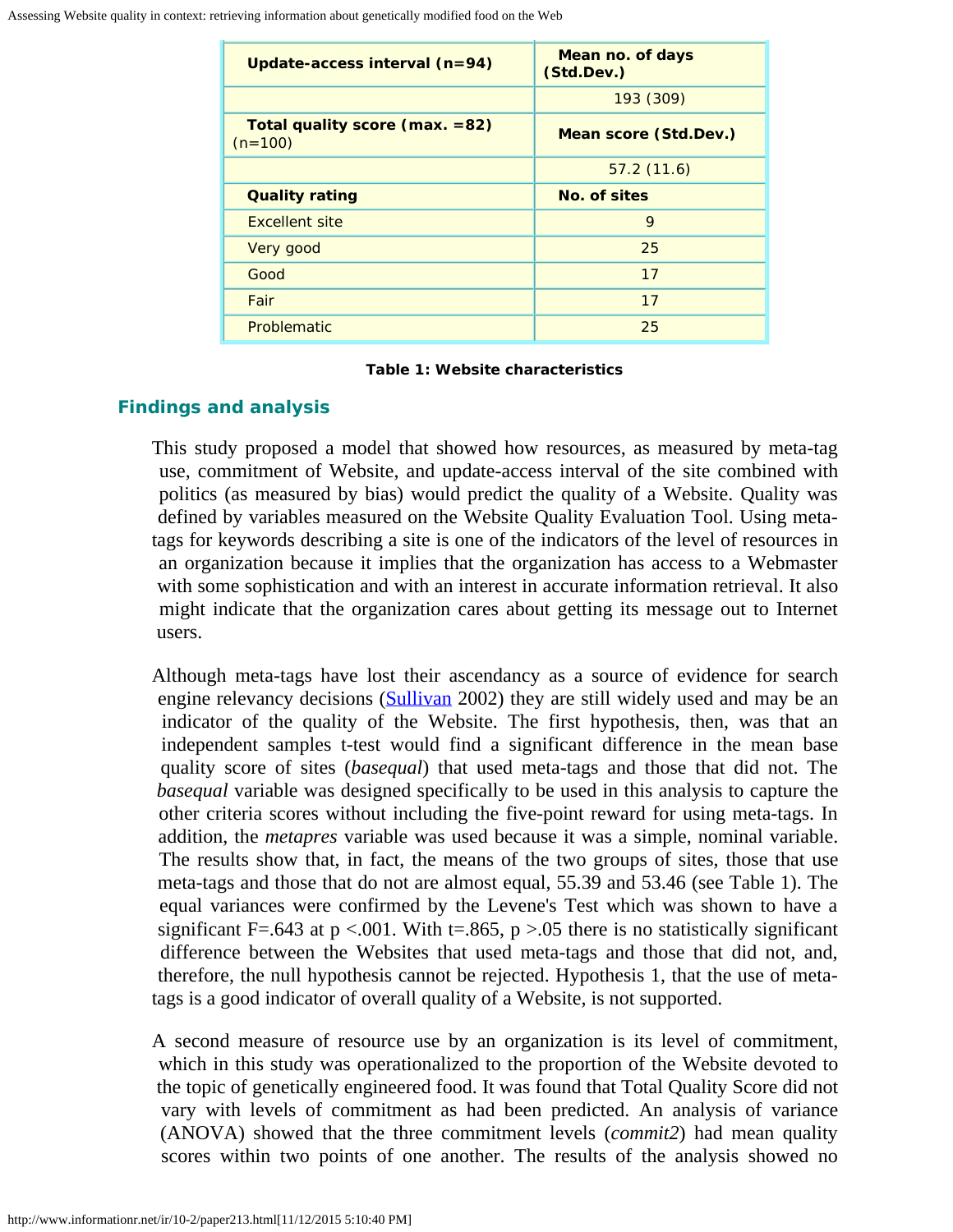| Update-access interval (n=94)               | Mean no. of days<br>(Std.Dev.) |  |
|---------------------------------------------|--------------------------------|--|
|                                             | 193 (309)                      |  |
| Total quality score (max. =82)<br>$(n=100)$ | <b>Mean score (Std.Dev.)</b>   |  |
|                                             | 57.2(11.6)                     |  |
| <b>Quality rating</b>                       | No. of sites                   |  |
| <b>Excellent site</b>                       | 9                              |  |
| Very good                                   | 25                             |  |
| Good                                        | 17                             |  |
| Fair                                        | 17                             |  |
| Problematic                                 | 25                             |  |

#### **Table 1: Website characteristics**

### **Findings and analysis**

This study proposed a model that showed how resources, as measured by meta-tag use, commitment of Website, and update-access interval of the site combined with politics (as measured by bias) would predict the quality of a Website. Quality was defined by variables measured on the Website Quality Evaluation Tool. Using metatags for keywords describing a site is one of the indicators of the level of resources in an organization because it implies that the organization has access to a Webmaster with some sophistication and with an interest in accurate information retrieval. It also might indicate that the organization cares about getting its message out to Internet users.

Although meta-tags have lost their ascendancy as a source of evidence for search engine relevancy decisions [\(Sullivan](#page-12-16) 2002) they are still widely used and may be an indicator of the quality of the Website. The first hypothesis, then, was that an independent samples t-test would find a significant difference in the mean base quality score of sites (*basequal*) that used meta-tags and those that did not. The *basequal* variable was designed specifically to be used in this analysis to capture the other criteria scores without including the five-point reward for using meta-tags. In addition, the *metapres* variable was used because it was a simple, nominal variable. The results show that, in fact, the means of the two groups of sites, those that use meta-tags and those that do not are almost equal, 55.39 and 53.46 (see Table 1). The equal variances were confirmed by the Levene's Test which was shown to have a significant F=.643 at  $p < .001$ . With t=.865,  $p > .05$  there is no statistically significant difference between the Websites that used meta-tags and those that did not, and, therefore, the null hypothesis cannot be rejected. Hypothesis 1, that the use of metatags is a good indicator of overall quality of a Website, is not supported.

A second measure of resource use by an organization is its level of commitment, which in this study was operationalized to the proportion of the Website devoted to the topic of genetically engineered food. It was found that Total Quality Score did not vary with levels of commitment as had been predicted. An analysis of variance (ANOVA) showed that the three commitment levels (*commit2*) had mean quality scores within two points of one another. The results of the analysis showed no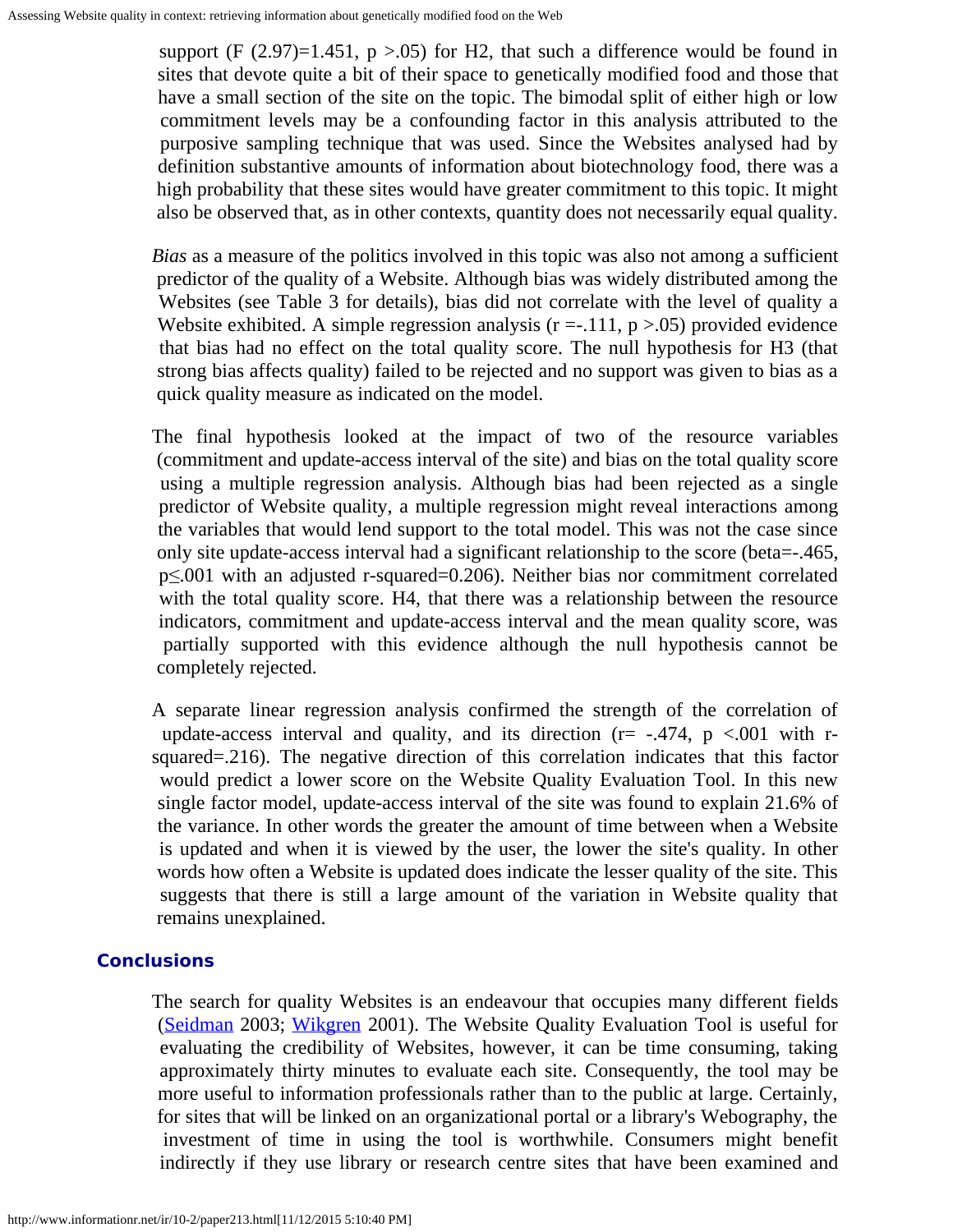support (F  $(2.97)=1.451$ , p  $>0.05$ ) for H2, that such a difference would be found in sites that devote quite a bit of their space to genetically modified food and those that have a small section of the site on the topic. The bimodal split of either high or low commitment levels may be a confounding factor in this analysis attributed to the purposive sampling technique that was used. Since the Websites analysed had by definition substantive amounts of information about biotechnology food, there was a high probability that these sites would have greater commitment to this topic. It might also be observed that, as in other contexts, quantity does not necessarily equal quality.

*Bias* as a measure of the politics involved in this topic was also not among a sufficient predictor of the quality of a Website. Although bias was widely distributed among the Websites (see Table 3 for details), bias did not correlate with the level of quality a Website exhibited. A simple regression analysis  $(r = -111, p > 0.05)$  provided evidence that bias had no effect on the total quality score. The null hypothesis for H3 (that strong bias affects quality) failed to be rejected and no support was given to bias as a quick quality measure as indicated on the model.

The final hypothesis looked at the impact of two of the resource variables (commitment and update-access interval of the site) and bias on the total quality score using a multiple regression analysis. Although bias had been rejected as a single predictor of Website quality, a multiple regression might reveal interactions among the variables that would lend support to the total model. This was not the case since only site update-access interval had a significant relationship to the score (beta=-.465, p≤.001 with an adjusted r-squared=0.206). Neither bias nor commitment correlated with the total quality score. H4, that there was a relationship between the resource indicators, commitment and update-access interval and the mean quality score, was partially supported with this evidence although the null hypothesis cannot be completely rejected.

A separate linear regression analysis confirmed the strength of the correlation of update-access interval and quality, and its direction ( $r = -0.474$ ,  $p \lt 0.001$  with rsquared=.216). The negative direction of this correlation indicates that this factor would predict a lower score on the Website Quality Evaluation Tool. In this new single factor model, update-access interval of the site was found to explain 21.6% of the variance. In other words the greater the amount of time between when a Website is updated and when it is viewed by the user, the lower the site's quality. In other words how often a Website is updated does indicate the lesser quality of the site. This suggests that there is still a large amount of the variation in Website quality that remains unexplained.

### **Conclusions**

The search for quality Websites is an endeavour that occupies many different fields [\(Seidman](#page-12-11) 2003; [Wikgren](#page-12-17) 2001). The Website Quality Evaluation Tool is useful for evaluating the credibility of Websites, however, it can be time consuming, taking approximately thirty minutes to evaluate each site. Consequently, the tool may be more useful to information professionals rather than to the public at large. Certainly, for sites that will be linked on an organizational portal or a library's Webography, the investment of time in using the tool is worthwhile. Consumers might benefit indirectly if they use library or research centre sites that have been examined and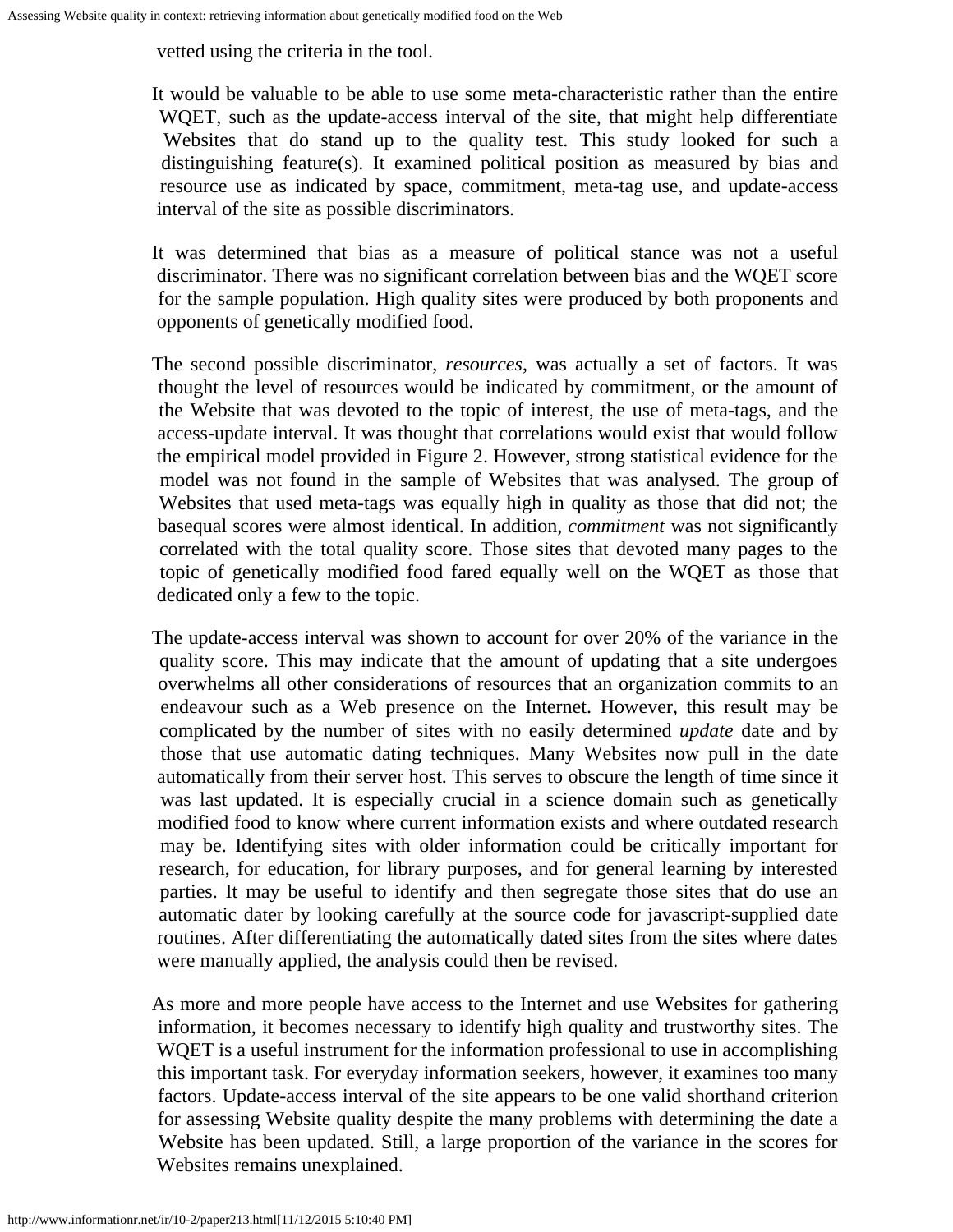vetted using the criteria in the tool.

It would be valuable to be able to use some meta-characteristic rather than the entire WQET, such as the update-access interval of the site, that might help differentiate Websites that do stand up to the quality test. This study looked for such a distinguishing feature(s). It examined political position as measured by bias and resource use as indicated by space, commitment, meta-tag use, and update-access interval of the site as possible discriminators.

It was determined that bias as a measure of political stance was not a useful discriminator. There was no significant correlation between bias and the WQET score for the sample population. High quality sites were produced by both proponents and opponents of genetically modified food.

The second possible discriminator, *resources*, was actually a set of factors. It was thought the level of resources would be indicated by commitment, or the amount of the Website that was devoted to the topic of interest, the use of meta-tags, and the access-update interval. It was thought that correlations would exist that would follow the empirical model provided in Figure 2. However, strong statistical evidence for the model was not found in the sample of Websites that was analysed. The group of Websites that used meta-tags was equally high in quality as those that did not; the basequal scores were almost identical. In addition, *commitment* was not significantly correlated with the total quality score. Those sites that devoted many pages to the topic of genetically modified food fared equally well on the WQET as those that dedicated only a few to the topic.

The update-access interval was shown to account for over 20% of the variance in the quality score. This may indicate that the amount of updating that a site undergoes overwhelms all other considerations of resources that an organization commits to an endeavour such as a Web presence on the Internet. However, this result may be complicated by the number of sites with no easily determined *update* date and by those that use automatic dating techniques. Many Websites now pull in the date automatically from their server host. This serves to obscure the length of time since it was last updated. It is especially crucial in a science domain such as genetically modified food to know where current information exists and where outdated research may be. Identifying sites with older information could be critically important for research, for education, for library purposes, and for general learning by interested parties. It may be useful to identify and then segregate those sites that do use an automatic dater by looking carefully at the source code for javascript-supplied date routines. After differentiating the automatically dated sites from the sites where dates were manually applied, the analysis could then be revised.

As more and more people have access to the Internet and use Websites for gathering information, it becomes necessary to identify high quality and trustworthy sites. The WQET is a useful instrument for the information professional to use in accomplishing this important task. For everyday information seekers, however, it examines too many factors. Update-access interval of the site appears to be one valid shorthand criterion for assessing Website quality despite the many problems with determining the date a Website has been updated. Still, a large proportion of the variance in the scores for Websites remains unexplained.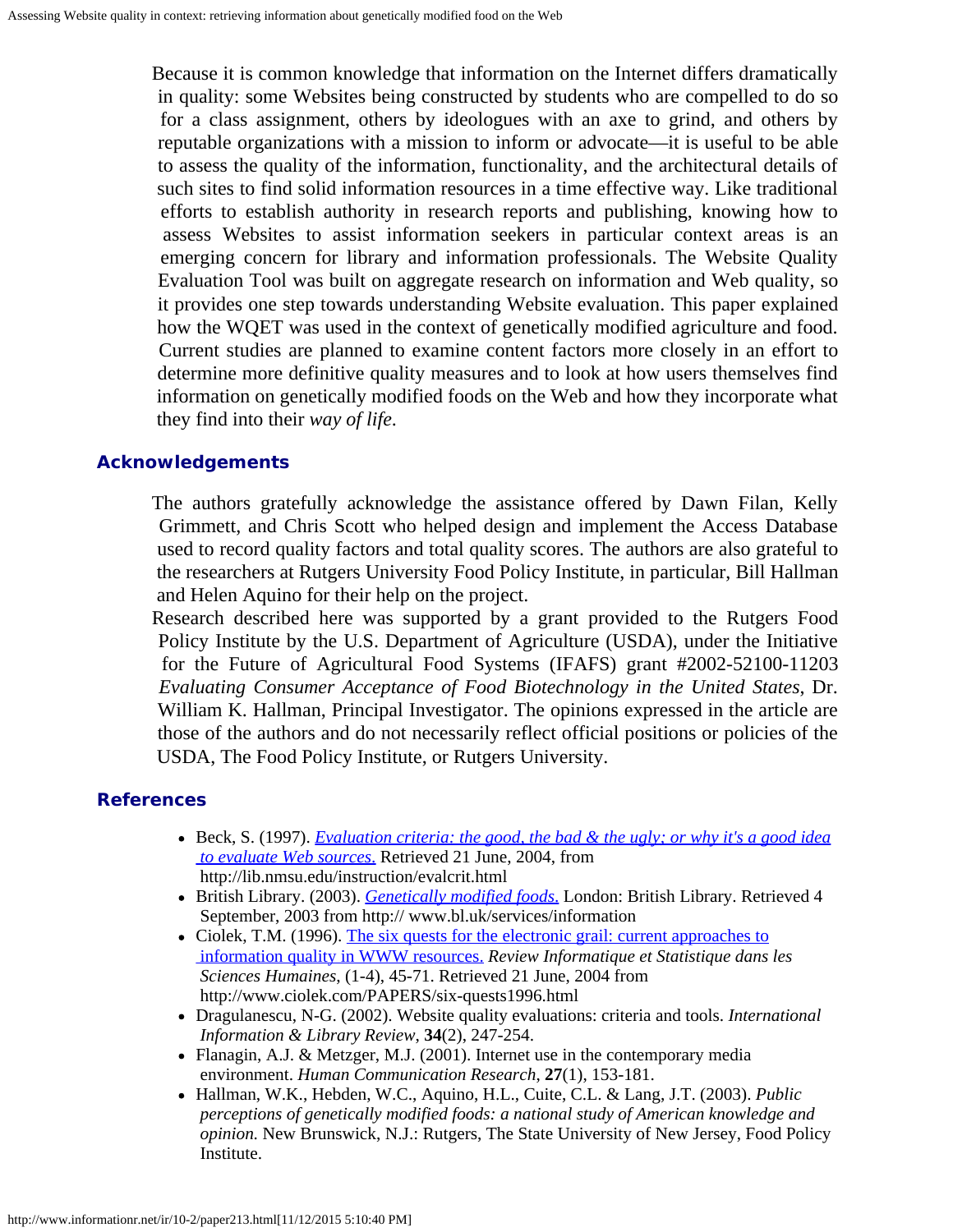Because it is common knowledge that information on the Internet differs dramatically in quality: some Websites being constructed by students who are compelled to do so for a class assignment, others by ideologues with an axe to grind, and others by reputable organizations with a mission to inform or advocate—it is useful to be able to assess the quality of the information, functionality, and the architectural details of such sites to find solid information resources in a time effective way. Like traditional efforts to establish authority in research reports and publishing, knowing how to assess Websites to assist information seekers in particular context areas is an emerging concern for library and information professionals. The Website Quality Evaluation Tool was built on aggregate research on information and Web quality, so it provides one step towards understanding Website evaluation. This paper explained how the WQET was used in the context of genetically modified agriculture and food. Current studies are planned to examine content factors more closely in an effort to determine more definitive quality measures and to look at how users themselves find information on genetically modified foods on the Web and how they incorporate what they find into their *way of life*.

## **Acknowledgements**

The authors gratefully acknowledge the assistance offered by Dawn Filan, Kelly Grimmett, and Chris Scott who helped design and implement the Access Database used to record quality factors and total quality scores. The authors are also grateful to the researchers at Rutgers University Food Policy Institute, in particular, Bill Hallman and Helen Aquino for their help on the project.

Research described here was supported by a grant provided to the Rutgers Food Policy Institute by the U.S. Department of Agriculture (USDA), under the Initiative for the Future of Agricultural Food Systems (IFAFS) grant #2002-52100-11203 *Evaluating Consumer Acceptance of Food Biotechnology in the United States*, Dr. William K. Hallman, Principal Investigator. The opinions expressed in the article are those of the authors and do not necessarily reflect official positions or policies of the USDA, The Food Policy Institute, or Rutgers University.

### <span id="page-11-2"></span>**References**

- Beck, S. (1997). *[Evaluation criteria: the good, the bad & the ugly; or why it's a good idea](http://lib.nmsu.edu/instruction/evalcrit.html)  [to evaluate Web sources](http://lib.nmsu.edu/instruction/evalcrit.html)*[.](http://lib.nmsu.edu/instruction/evalcrit.html) Retrieved 21 June, 2004, from http://lib.nmsu.edu/instruction/evalcrit.html
- British Library. (2003). *[Genetically modified foods](http://%20www.bl.uk/services/information)*[.](http://%20www.bl.uk/services/information) London: British Library. Retrieved 4 September, 2003 from http:// www.bl.uk/services/information
- Ciolek, T.M. (1996). [The six quests for the electronic grail: current approaches to](http://www.ciolek.com/PAPERS/six-quests1996.html)  [information quality in WWW resources.](http://www.ciolek.com/PAPERS/six-quests1996.html) *Review Informatique et Statistique dans les Sciences Humaines*, (1-4), 45-71. Retrieved 21 June, 2004 from http://www.ciolek.com/PAPERS/six-quests1996.html
- Dragulanescu, N-G. (2002). Website quality evaluations: criteria and tools. *International Information & Library Review*, **34**(2), 247-254.
- <span id="page-11-1"></span>Flanagin, A.J. & Metzger, M.J. (2001). Internet use in the contemporary media environment. *Human Communication Research*, **27**(1), 153-181.
- <span id="page-11-0"></span>Hallman, W.K., Hebden, W.C., Aquino, H.L., Cuite, C.L. & Lang, J.T. (2003). *Public perceptions of genetically modified foods: a national study of American knowledge and opinion.* New Brunswick, N.J.: Rutgers, The State University of New Jersey, Food Policy Institute.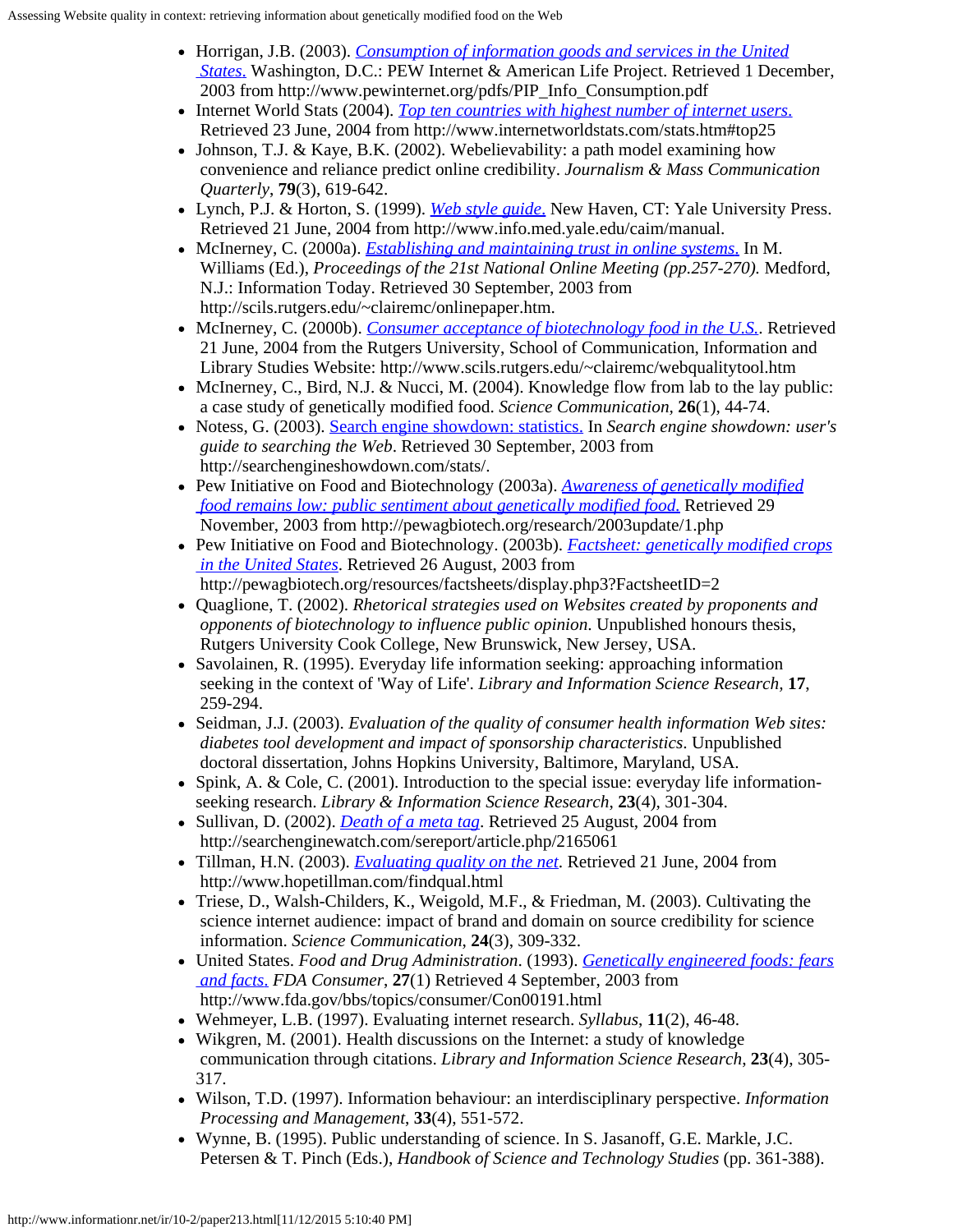- <span id="page-12-7"></span>Horrigan, J.B. (2003). *[Consumption of information goods and services in the United](http://www.pewinternet.org/pdfs/PIP_Info_Consumption.pdf)  [States](http://www.pewinternet.org/pdfs/PIP_Info_Consumption.pdf)*[.](http://www.pewinternet.org/pdfs/PIP_Info_Consumption.pdf) Washington, D.C.: PEW Internet & American Life Project. Retrieved 1 December, 2003 from http://www.pewinternet.org/pdfs/PIP\_Info\_Consumption.pdf
- <span id="page-12-8"></span>Internet World Stats (2004). *[Top ten countries with highest number of internet users](http://www.internetworldstats.com/stats.htm#top25)*[.](http://www.internetworldstats.com/stats.htm#top25) Retrieved 23 June, 2004 from http://www.internetworldstats.com/stats.htm#top25
- <span id="page-12-9"></span>Johnson, T.J. & Kaye, B.K. (2002). Webelievability: a path model examining how convenience and reliance predict online credibility. *Journalism & Mass Communication Quarterly*, **79**(3), 619-642.
- Lynch, P.J. & Horton, S. (1999). *[Web style guide](http://www.info.med.yale.edu/caim/manual)*[.](http://www.info.med.yale.edu/caim/manual) New Haven, CT: Yale University Press. Retrieved 21 June, 2004 from http://www.info.med.yale.edu/caim/manual.
- <span id="page-12-10"></span>McInerney, C. (2000a). *[Establishing and maintaining trust in online systems](http://scils.rutgers.edu/~clairemc/onlinepaper.htm)*[.](http://scils.rutgers.edu/~clairemc/onlinepaper.htm) In M. Williams (Ed.), *Proceedings of the 21st National Online Meeting (pp.257-270).* Medford, N.J.: Information Today. Retrieved 30 September, 2003 from http://scils.rutgers.edu/~clairemc/onlinepaper.htm.
- <span id="page-12-13"></span>• McInerney, C. (2000b). *[Consumer acceptance of biotechnology food in the U.S.](http://www.scils.rutgers.edu/~clairemc/webqualitytool.htm)*. Retrieved 21 June, 2004 from the Rutgers University, School of Communication, Information and Library Studies Website: http://www.scils.rutgers.edu/~clairemc/webqualitytool.htm
- <span id="page-12-3"></span> $\bullet$  McInerney, C., Bird, N.J. & Nucci, M. (2004). Knowledge flow from lab to the lay public: a case study of genetically modified food. *Science Communication,* **26**(1), 44-74.
- <span id="page-12-15"></span>Notess, G. (2003). [Search engine showdown: statistics.](http://searchengineshowdown.com/stats/) In *Search engine showdown: user's guide to searching the Web*. Retrieved 30 September, 2003 from http://searchengineshowdown.com/stats/.
- <span id="page-12-2"></span>Pew Initiative on Food and Biotechnology (2003a). *[Awareness of genetically modified](http://pewagbiotech.org/research/2003update/1.php)  [food remains low: public sentiment about genetically modified food.](http://pewagbiotech.org/research/2003update/1.php)* Retrieved 29 November, 2003 from http://pewagbiotech.org/research/2003update/1.php
- <span id="page-12-1"></span>Pew Initiative on Food and Biotechnology. (2003b). *[Factsheet: genetically modified crops](http://pewagbiotech.org/resources/factsheets/display.php3?FactsheetID=2)  [in the United States](http://pewagbiotech.org/resources/factsheets/display.php3?FactsheetID=2)*. Retrieved 26 August, 2003 from http://pewagbiotech.org/resources/factsheets/display.php3?FactsheetID=2
- <span id="page-12-14"></span>Quaglione, T. (2002). *Rhetorical strategies used on Websites created by proponents and opponents of biotechnology to influence public opinion*. Unpublished honours thesis, Rutgers University Cook College, New Brunswick, New Jersey, USA.
- <span id="page-12-0"></span>Savolainen, R. (1995). Everyday life information seeking: approaching information seeking in the context of 'Way of Life'. *Library and Information Science Research,* **17**, 259-294.
- <span id="page-12-11"></span>Seidman, J.J. (2003). *Evaluation of the quality of consumer health information Web sites: diabetes tool development and impact of sponsorship characteristics*. Unpublished doctoral dissertation, Johns Hopkins University, Baltimore, Maryland, USA.
- <span id="page-12-6"></span>• Spink, A. & Cole, C. (2001). Introduction to the special issue: everyday life informationseeking research. *Library & Information Science Research*, **23**(4), 301-304.
- <span id="page-12-16"></span>• Sullivan, D. (2002). *[Death of a meta tag](http://searchenginewatch.com/sereport/article.php/2165061)*. Retrieved 25 August, 2004 from http://searchenginewatch.com/sereport/article.php/2165061
- Tillman, H.N. (2003). *[Evaluating quality on the net](http://www.hopetillman.com/findqual.html)*. Retrieved 21 June, 2004 from http://www.hopetillman.com/findqual.html
- <span id="page-12-12"></span>Triese, D., Walsh-Childers, K., Weigold, M.F., & Friedman, M. (2003). Cultivating the science internet audience: impact of brand and domain on source credibility for science information. *Science Communication*, **24**(3), 309-332.
- United States. *Food and Drug Administration*. (1993). *[Genetically engineered foods: fears](http://www.fda.gov/bbs/topics/consumer/Con00191.html)  [and facts](http://www.fda.gov/bbs/topics/consumer/Con00191.html)*[.](http://www.fda.gov/bbs/topics/consumer/Con00191.html) *FDA Consumer*, **27**(1) Retrieved 4 September, 2003 from http://www.fda.gov/bbs/topics/consumer/Con00191.html
- Wehmeyer, L.B. (1997). Evaluating internet research. *Syllabus*, **11**(2), 46-48.
- <span id="page-12-17"></span>Wikgren, M. (2001). Health discussions on the Internet: a study of knowledge communication through citations. *Library and Information Science Research*, **23**(4), 305- 317.
- <span id="page-12-5"></span>Wilson, T.D. (1997). Information behaviour: an interdisciplinary perspective. *Information Processing and Management*, **33**(4), 551-572.
- <span id="page-12-4"></span>Wynne, B. (1995). Public understanding of science. In S. Jasanoff, G.E. Markle, J.C. Petersen & T. Pinch (Eds.), *Handbook of Science and Technology Studies* (pp. 361-388).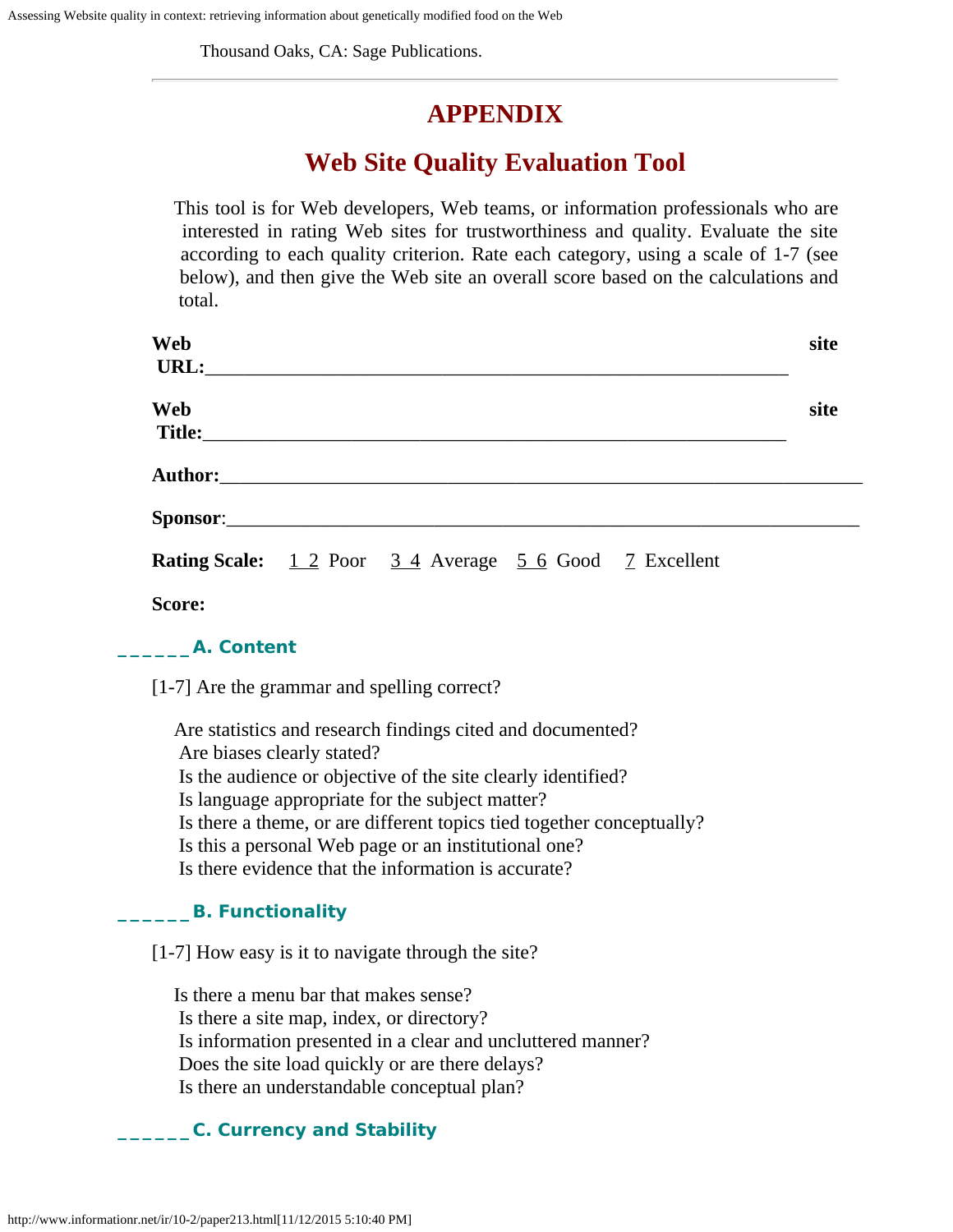Thousand Oaks, CA: Sage Publications.

# **APPENDIX**

# **Web Site Quality Evaluation Tool**

<span id="page-13-0"></span>This tool is for Web developers, Web teams, or information professionals who are interested in rating Web sites for trustworthiness and quality. Evaluate the site according to each quality criterion. Rate each category, using a scale of 1-7 (see below), and then give the Web site an overall score based on the calculations and total.

| Web    |                                                                |  | site |
|--------|----------------------------------------------------------------|--|------|
|        | URL:                                                           |  |      |
| Web    |                                                                |  | site |
|        |                                                                |  |      |
|        |                                                                |  |      |
|        |                                                                |  |      |
|        | <b>Rating Scale:</b> 1 2 Poor 3 4 Average 5 6 Good 7 Excellent |  |      |
| Score: |                                                                |  |      |

## **\_\_\_\_\_\_A. Content**

[1-7] Are the grammar and spelling correct?

Are statistics and research findings cited and documented? Are biases clearly stated? Is the audience or objective of the site clearly identified? Is language appropriate for the subject matter? Is there a theme, or are different topics tied together conceptually? Is this a personal Web page or an institutional one? Is there evidence that the information is accurate?

# **\_\_\_\_\_\_B. Functionality**

[1-7] How easy is it to navigate through the site?

Is there a menu bar that makes sense? Is there a site map, index, or directory? Is information presented in a clear and uncluttered manner? Does the site load quickly or are there delays? Is there an understandable conceptual plan?

# **\_\_\_\_\_\_C. Currency and Stability**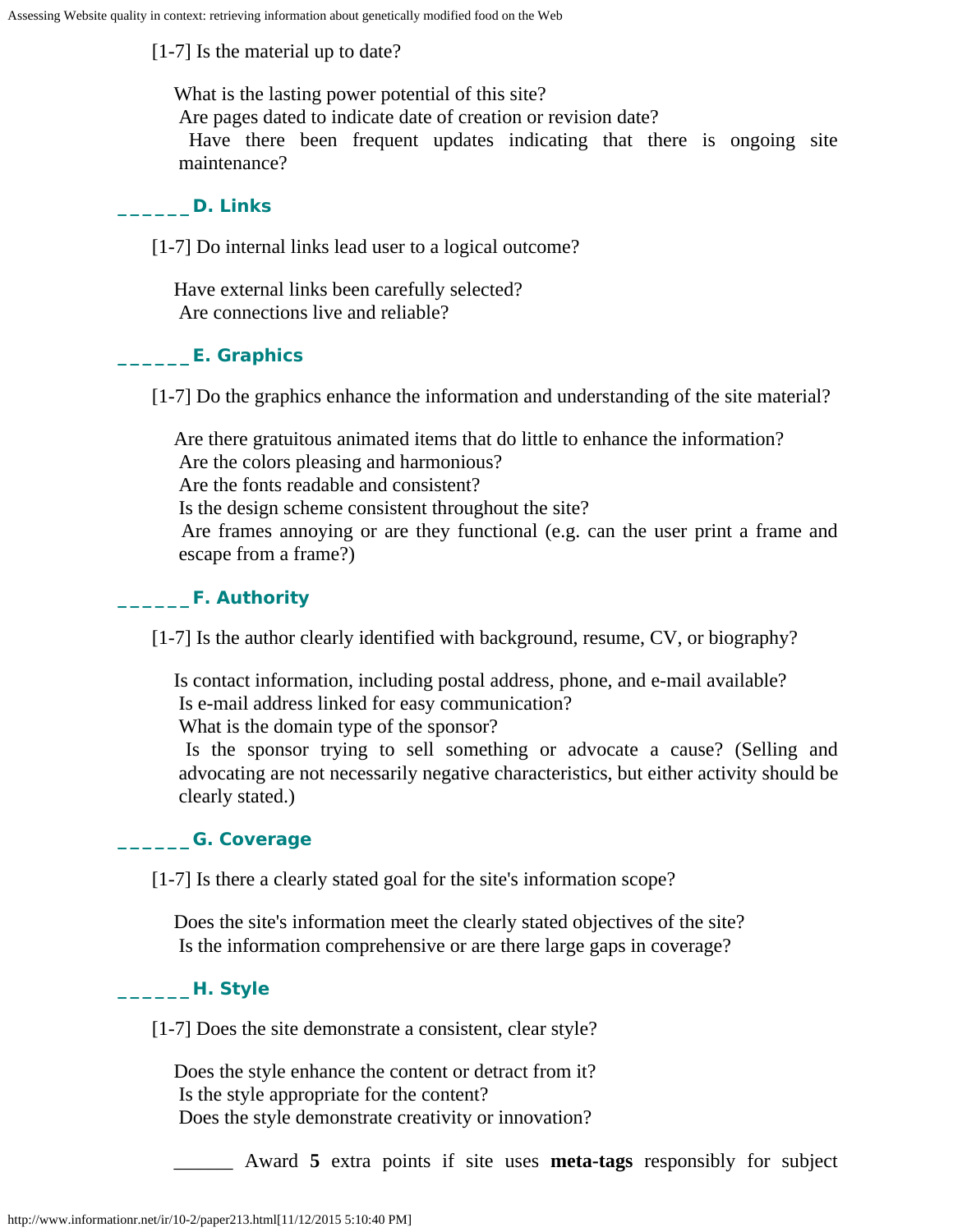[1-7] Is the material up to date?

What is the lasting power potential of this site?

Are pages dated to indicate date of creation or revision date?

Have there been frequent updates indicating that there is ongoing site maintenance?

# **\_\_\_\_\_\_D. Links**

[1-7] Do internal links lead user to a logical outcome?

Have external links been carefully selected? Are connections live and reliable?

# **\_\_\_\_\_\_E. Graphics**

[1-7] Do the graphics enhance the information and understanding of the site material?

Are there gratuitous animated items that do little to enhance the information? Are the colors pleasing and harmonious? Are the fonts readable and consistent? Is the design scheme consistent throughout the site? Are frames annoying or are they functional (e.g. can the user print a frame and escape from a frame?)

# **\_\_\_\_\_\_F. Authority**

[1-7] Is the author clearly identified with background, resume, CV, or biography?

Is contact information, including postal address, phone, and e-mail available? Is e-mail address linked for easy communication?

What is the domain type of the sponsor?

Is the sponsor trying to sell something or advocate a cause? (Selling and advocating are not necessarily negative characteristics, but either activity should be clearly stated.)

# **\_\_\_\_\_\_G. Coverage**

[1-7] Is there a clearly stated goal for the site's information scope?

Does the site's information meet the clearly stated objectives of the site? Is the information comprehensive or are there large gaps in coverage?

# **\_\_\_\_\_\_H. Style**

[1-7] Does the site demonstrate a consistent, clear style?

Does the style enhance the content or detract from it? Is the style appropriate for the content? Does the style demonstrate creativity or innovation?

\_\_\_\_\_\_ Award **5** extra points if site uses **meta-tags** responsibly for subject